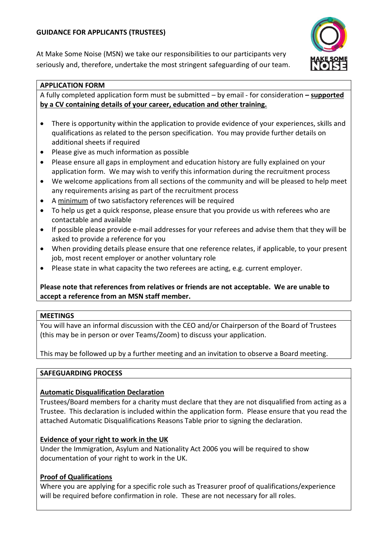# **GUIDANCE FOR APPLICANTS (TRUSTEES)**

At Make Some Noise (MSN) we take our responsibilities to our participants very seriously and, therefore, undertake the most stringent safeguarding of our team.



#### **APPLICATION FORM**

A fully completed application form must be submitted – by email - for consideration **– supported by a CV containing details of your career, education and other training.**

- There is opportunity within the application to provide evidence of your experiences, skills and qualifications as related to the person specification. You may provide further details on additional sheets if required
- Please give as much information as possible
- Please ensure all gaps in employment and education history are fully explained on your application form. We may wish to verify this information during the recruitment process
- We welcome applications from all sections of the community and will be pleased to help meet any requirements arising as part of the recruitment process
- A minimum of two satisfactory references will be required
- To help us get a quick response, please ensure that you provide us with referees who are contactable and available
- If possible please provide e-mail addresses for your referees and advise them that they will be asked to provide a reference for you
- When providing details please ensure that one reference relates, if applicable, to your present job, most recent employer or another voluntary role
- Please state in what capacity the two referees are acting, e.g. current employer.

# **Please note that references from relatives or friends are not acceptable. We are unable to accept a reference from an MSN staff member.**

#### **MEETINGS**

You will have an informal discussion with the CEO and/or Chairperson of the Board of Trustees (this may be in person or over Teams/Zoom) to discuss your application.

This may be followed up by a further meeting and an invitation to observe a Board meeting.

# **SAFEGUARDING PROCESS**

# **Automatic Disqualification Declaration**

Trustees/Board members for a charity must declare that they are not disqualified from acting as a Trustee. This declaration is included within the application form. Please ensure that you read the attached Automatic Disqualifications Reasons Table prior to signing the declaration.

# **Evidence of your right to work in the UK**

Under the Immigration, Asylum and Nationality Act 2006 you will be required to show documentation of your right to work in the UK.

# **Proof of Qualifications**

Where you are applying for a specific role such as Treasurer proof of qualifications/experience will be required before confirmation in role. These are not necessary for all roles.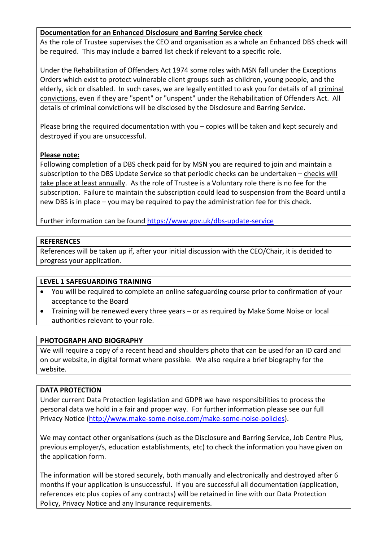# **Documentation for an Enhanced Disclosure and Barring Service check**

As the role of Trustee supervises the CEO and organisation as a whole an Enhanced DBS check will be required. This may include a barred list check if relevant to a specific role.

Under the Rehabilitation of Offenders Act 1974 some roles with MSN fall under the Exceptions Orders which exist to protect vulnerable client groups such as children, young people, and the elderly, sick or disabled. In such cases, we are legally entitled to ask you for details of all criminal convictions, even if they are "spent" or "unspent" under the Rehabilitation of Offenders Act. All details of criminal convictions will be disclosed by the Disclosure and Barring Service.

Please bring the required documentation with you – copies will be taken and kept securely and destroyed if you are unsuccessful.

# **Please note:**

Following completion of a DBS check paid for by MSN you are required to join and maintain a subscription to the DBS Update Service so that periodic checks can be undertaken – checks will take place at least annually. As the role of Trustee is a Voluntary role there is no fee for the subscription. Failure to maintain the subscription could lead to suspension from the Board until a new DBS is in place – you may be required to pay the administration fee for this check.

Further information can be found<https://www.gov.uk/dbs-update-service>

# **REFERENCES**

References will be taken up if, after your initial discussion with the CEO/Chair, it is decided to progress your application.

# **LEVEL 1 SAFEGUARDING TRAINING**

- You will be required to complete an online safeguarding course prior to confirmation of your acceptance to the Board
- Training will be renewed every three years or as required by Make Some Noise or local authorities relevant to your role.

# **PHOTOGRAPH AND BIOGRAPHY**

We will require a copy of a recent head and shoulders photo that can be used for an ID card and on our website, in digital format where possible. We also require a brief biography for the website.

# **DATA PROTECTION**

Under current Data Protection legislation and GDPR we have responsibilities to process the personal data we hold in a fair and proper way. For further information please see our full Privacy Notice [\(http://www.make-some-noise.com/make-some-noise-policies\)](http://www.make-some-noise.com/make-some-noise-policies).

We may contact other organisations (such as the Disclosure and Barring Service, Job Centre Plus, previous employer/s, education establishments, etc) to check the information you have given on the application form.

The information will be stored securely, both manually and electronically and destroyed after 6 months if your application is unsuccessful. If you are successful all documentation (application, references etc plus copies of any contracts) will be retained in line with our Data Protection Policy, Privacy Notice and any Insurance requirements.